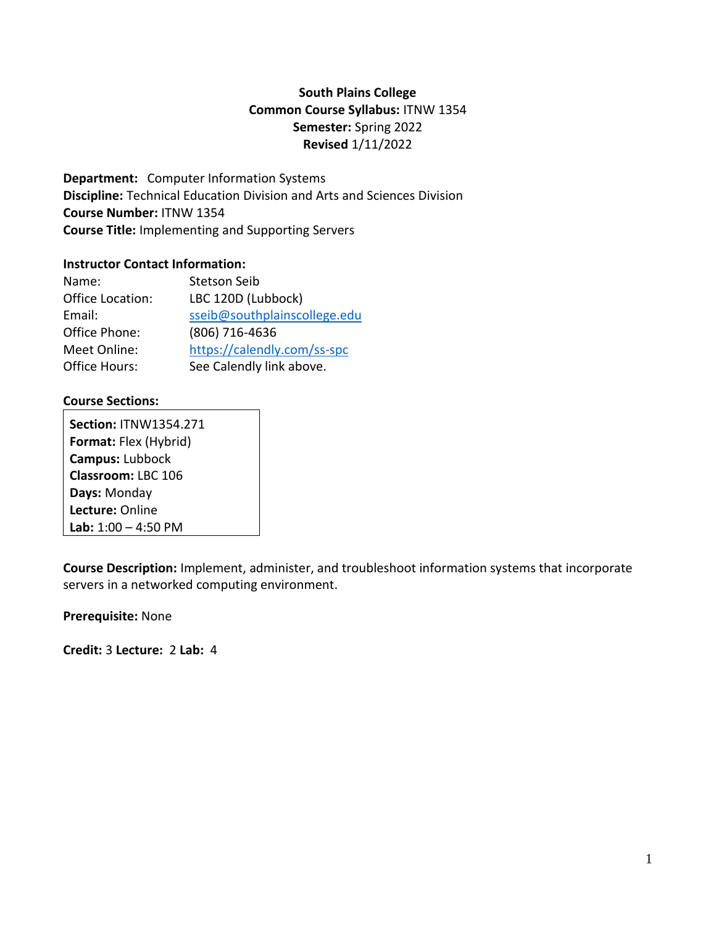# **South Plains College Common Course Syllabus:** ITNW 1354 **Semester:** Spring 2022 **Revised** 1/11/2022

**Department:** Computer Information Systems **Discipline:** Technical Education Division and Arts and Sciences Division **Course Number:** ITNW 1354 **Course Title:** Implementing and Supporting Servers

#### **Instructor Contact Information:**

| Name:            | <b>Stetson Seib</b>          |
|------------------|------------------------------|
| Office Location: | LBC 120D (Lubbock)           |
| Email:           | sseib@southplainscollege.edu |
| Office Phone:    | (806) 716-4636               |
| Meet Online:     | https://calendly.com/ss-spc  |
| Office Hours:    | See Calendly link above.     |

## **Course Sections:**

**Section:** ITNW1354.271 **Format:** Flex (Hybrid) **Campus:** Lubbock **Classroom:** LBC 106 **Days:** Monday **Lecture:** Online **Lab:** 1:00 – 4:50 PM

**Course Description:** Implement, administer, and troubleshoot information systems that incorporate servers in a networked computing environment.

**Prerequisite:** None

**Credit:** 3 **Lecture:** 2 **Lab:** 4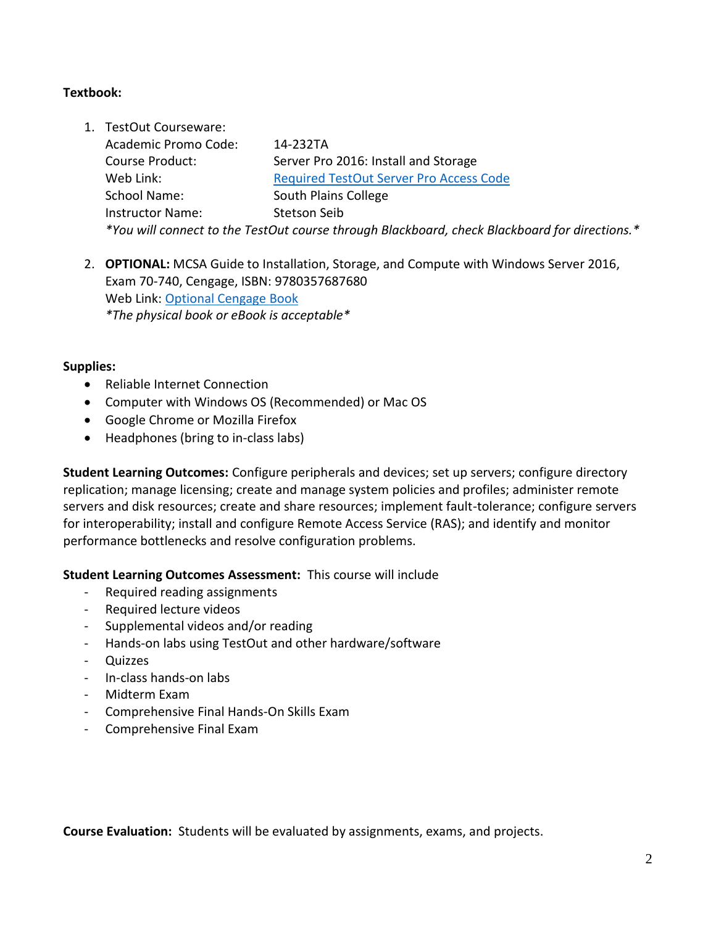## **Textbook:**

- 1. TestOut Courseware: Academic Promo Code: 14-232TA Course Product: Server Pro 2016: Install and Storage Web Link: [Required TestOut Server Pro Access Code](https://www.testout.com/courses/server-pro-2016-install-and-storage) School Name: South Plains College Instructor Name: Stetson Seib *\*You will connect to the TestOut course through Blackboard, check Blackboard for directions.\**
- 2. **OPTIONAL:** MCSA Guide to Installation, Storage, and Compute with Windows Server 2016, Exam 70-740, Cengage, ISBN: 9780357687680 Web Link: [Optional Cengage Book](https://www.cengage.com/c/mcsa-guide-to-installation-storage-and-compute-with-windows-server-2016-exam-70-740-1e-tomsho/9781337400664PF/) *\*The physical book or eBook is acceptable\**

#### **Supplies:**

- Reliable Internet Connection
- Computer with Windows OS (Recommended) or Mac OS
- Google Chrome or Mozilla Firefox
- Headphones (bring to in-class labs)

**Student Learning Outcomes:** Configure peripherals and devices; set up servers; configure directory replication; manage licensing; create and manage system policies and profiles; administer remote servers and disk resources; create and share resources; implement fault-tolerance; configure servers for interoperability; install and configure Remote Access Service (RAS); and identify and monitor performance bottlenecks and resolve configuration problems.

**Student Learning Outcomes Assessment:** This course will include

- Required reading assignments
- Required lecture videos
- Supplemental videos and/or reading
- Hands-on labs using TestOut and other hardware/software
- **Quizzes**
- In-class hands-on labs
- Midterm Exam
- Comprehensive Final Hands-On Skills Exam
- Comprehensive Final Exam

**Course Evaluation:** Students will be evaluated by assignments, exams, and projects.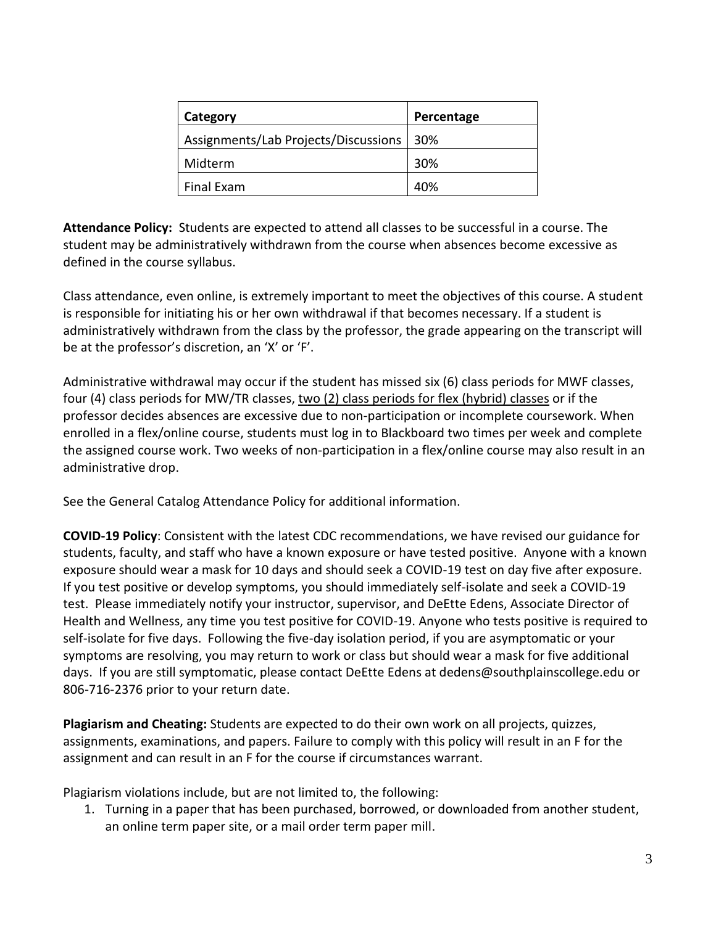| Category                             | Percentage |
|--------------------------------------|------------|
| Assignments/Lab Projects/Discussions | -30%       |
| Midterm                              | 30%        |
| Final Exam                           | 40%        |

**Attendance Policy:** Students are expected to attend all classes to be successful in a course. The student may be administratively withdrawn from the course when absences become excessive as defined in the course syllabus.

Class attendance, even online, is extremely important to meet the objectives of this course. A student is responsible for initiating his or her own withdrawal if that becomes necessary. If a student is administratively withdrawn from the class by the professor, the grade appearing on the transcript will be at the professor's discretion, an 'X' or 'F'.

Administrative withdrawal may occur if the student has missed six (6) class periods for MWF classes, four (4) class periods for MW/TR classes, two (2) class periods for flex (hybrid) classes or if the professor decides absences are excessive due to non-participation or incomplete coursework. When enrolled in a flex/online course, students must log in to Blackboard two times per week and complete the assigned course work. Two weeks of non-participation in a flex/online course may also result in an administrative drop.

See the General Catalog Attendance Policy for additional information.

**COVID-19 Policy**: Consistent with the latest CDC recommendations, we have revised our guidance for students, faculty, and staff who have a known exposure or have tested positive. Anyone with a known exposure should wear a mask for 10 days and should seek a COVID-19 test on day five after exposure. If you test positive or develop symptoms, you should immediately self-isolate and seek a COVID-19 test. Please immediately notify your instructor, supervisor, and DeEtte Edens, Associate Director of Health and Wellness, any time you test positive for COVID-19. Anyone who tests positive is required to self-isolate for five days. Following the five-day isolation period, if you are asymptomatic or your symptoms are resolving, you may return to work or class but should wear a mask for five additional days. If you are still symptomatic, please contact DeEtte Edens at dedens@southplainscollege.edu or 806-716-2376 prior to your return date.

**Plagiarism and Cheating:** Students are expected to do their own work on all projects, quizzes, assignments, examinations, and papers. Failure to comply with this policy will result in an F for the assignment and can result in an F for the course if circumstances warrant.

Plagiarism violations include, but are not limited to, the following:

1. Turning in a paper that has been purchased, borrowed, or downloaded from another student, an online term paper site, or a mail order term paper mill.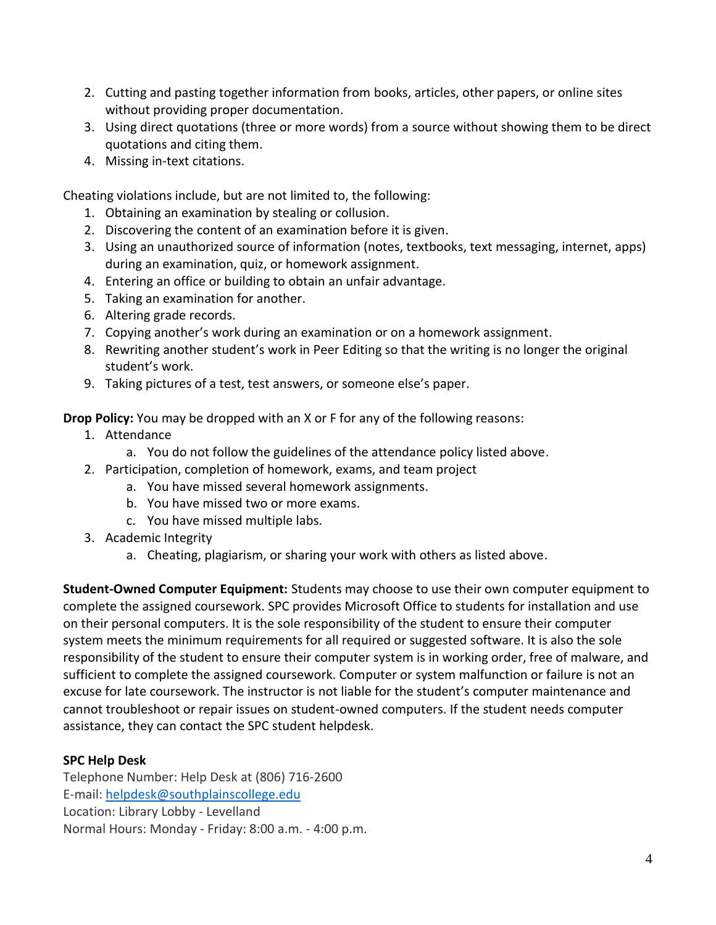- 2. Cutting and pasting together information from books, articles, other papers, or online sites without providing proper documentation.
- 3. Using direct quotations (three or more words) from a source without showing them to be direct quotations and citing them.
- 4. Missing in-text citations.

Cheating violations include, but are not limited to, the following:

- 1. Obtaining an examination by stealing or collusion.
- 2. Discovering the content of an examination before it is given.
- 3. Using an unauthorized source of information (notes, textbooks, text messaging, internet, apps) during an examination, quiz, or homework assignment.
- 4. Entering an office or building to obtain an unfair advantage.
- 5. Taking an examination for another.
- 6. Altering grade records.
- 7. Copying another's work during an examination or on a homework assignment.
- 8. Rewriting another student's work in Peer Editing so that the writing is no longer the original student's work.
- 9. Taking pictures of a test, test answers, or someone else's paper.

**Drop Policy:** You may be dropped with an X or F for any of the following reasons:

- 1. Attendance
	- a. You do not follow the guidelines of the attendance policy listed above.
- 2. Participation, completion of homework, exams, and team project
	- a. You have missed several homework assignments.
	- b. You have missed two or more exams.
	- c. You have missed multiple labs.
- 3. Academic Integrity
	- a. Cheating, plagiarism, or sharing your work with others as listed above.

**Student-Owned Computer Equipment:** Students may choose to use their own computer equipment to complete the assigned coursework. SPC provides Microsoft Office to students for installation and use on their personal computers. It is the sole responsibility of the student to ensure their computer system meets the minimum requirements for all required or suggested software. It is also the sole responsibility of the student to ensure their computer system is in working order, free of malware, and sufficient to complete the assigned coursework. Computer or system malfunction or failure is not an excuse for late coursework. The instructor is not liable for the student's computer maintenance and cannot troubleshoot or repair issues on student-owned computers. If the student needs computer assistance, they can contact the SPC student helpdesk.

# **SPC Help Desk**

Telephone Number: Help Desk at (806) 716-2600 E-mail: [helpdesk@southplainscollege.edu](mailto:helpdesk@southplainscollege.edu) Location: Library Lobby - Levelland Normal Hours: Monday - Friday: 8:00 a.m. - 4:00 p.m.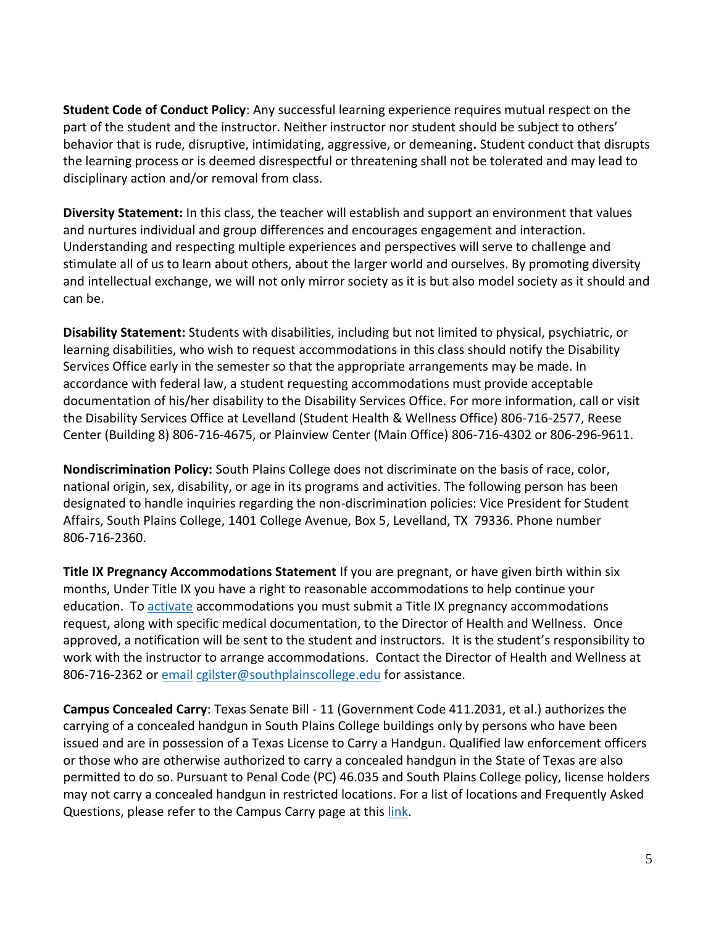**Student Code of Conduct Policy**: Any successful learning experience requires mutual respect on the part of the student and the instructor. Neither instructor nor student should be subject to others' behavior that is rude, disruptive, intimidating, aggressive, or demeaning**.** Student conduct that disrupts the learning process or is deemed disrespectful or threatening shall not be tolerated and may lead to disciplinary action and/or removal from class.

**Diversity Statement:** In this class, the teacher will establish and support an environment that values and nurtures individual and group differences and encourages engagement and interaction. Understanding and respecting multiple experiences and perspectives will serve to challenge and stimulate all of us to learn about others, about the larger world and ourselves. By promoting diversity and intellectual exchange, we will not only mirror society as it is but also model society as it should and can be.

**Disability Statement:** Students with disabilities, including but not limited to physical, psychiatric, or learning disabilities, who wish to request accommodations in this class should notify the Disability Services Office early in the semester so that the appropriate arrangements may be made. In accordance with federal law, a student requesting accommodations must provide acceptable documentation of his/her disability to the Disability Services Office. For more information, call or visit the Disability Services Office at Levelland (Student Health & Wellness Office) 806-716-2577, Reese Center (Building 8) 806-716-4675, or Plainview Center (Main Office) 806-716-4302 or 806-296-9611.

**Nondiscrimination Policy:** South Plains College does not discriminate on the basis of race, color, national origin, sex, disability, or age in its programs and activities. The following person has been designated to handle inquiries regarding the non-discrimination policies: Vice President for Student Affairs, South Plains College, 1401 College Avenue, Box 5, Levelland, TX 79336. Phone number 806-716-2360.

**Title IX Pregnancy Accommodations Statement** If you are pregnant, or have given birth within six months, Under Title IX you have a right to reasonable accommodations to help continue your education. To [activate](http://www.southplainscollege.edu/employees/manualshandbooks/facultyhandbook/sec4.php) accommodations you must submit a Title IX pregnancy accommodations request, along with specific medical documentation, to the Director of Health and Wellness. Once approved, a notification will be sent to the student and instructors. It is the student's responsibility to work with the instructor to arrange accommodations. Contact the Director of Health and Wellness at 806-716-2362 or [email](http://www.southplainscollege.edu/employees/manualshandbooks/facultyhandbook/sec4.php) [cgilster@southplainscollege.edu](mailto:cgilster@southplainscollege.edu) for assistance.

**Campus Concealed Carry**: Texas Senate Bill - 11 (Government Code 411.2031, et al.) authorizes the carrying of a concealed handgun in South Plains College buildings only by persons who have been issued and are in possession of a Texas License to Carry a Handgun. Qualified law enforcement officers or those who are otherwise authorized to carry a concealed handgun in the State of Texas are also permitted to do so. Pursuant to Penal Code (PC) 46.035 and South Plains College policy, license holders may not carry a concealed handgun in restricted locations. For a list of locations and Frequently Asked Questions, please refer to the Campus Carry page at thi[s link.](http://www.southplainscollege.edu/campuscarry.php)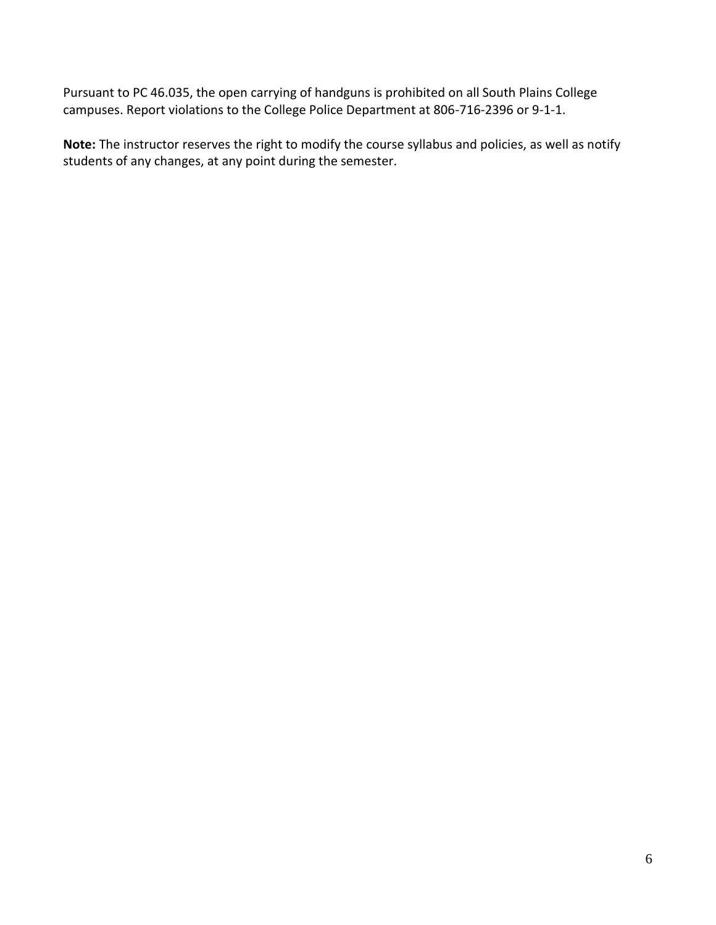Pursuant to PC 46.035, the open carrying of handguns is prohibited on all South Plains College campuses. Report violations to the College Police Department at 806-716-2396 or 9-1-1.

**Note:** The instructor reserves the right to modify the course syllabus and policies, as well as notify students of any changes, at any point during the semester.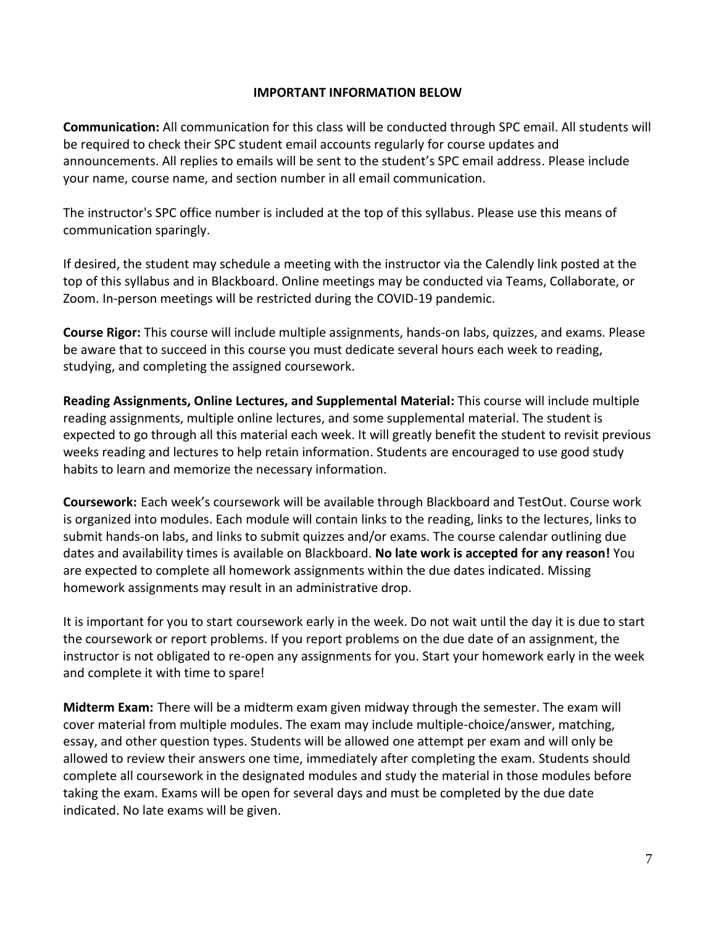#### **IMPORTANT INFORMATION BELOW**

**Communication:** All communication for this class will be conducted through SPC email. All students will be required to check their SPC student email accounts regularly for course updates and announcements. All replies to emails will be sent to the student's SPC email address. Please include your name, course name, and section number in all email communication.

The instructor's SPC office number is included at the top of this syllabus. Please use this means of communication sparingly.

If desired, the student may schedule a meeting with the instructor via the Calendly link posted at the top of this syllabus and in Blackboard. Online meetings may be conducted via Teams, Collaborate, or Zoom. In-person meetings will be restricted during the COVID-19 pandemic.

**Course Rigor:** This course will include multiple assignments, hands-on labs, quizzes, and exams. Please be aware that to succeed in this course you must dedicate several hours each week to reading, studying, and completing the assigned coursework.

**Reading Assignments, Online Lectures, and Supplemental Material:** This course will include multiple reading assignments, multiple online lectures, and some supplemental material. The student is expected to go through all this material each week. It will greatly benefit the student to revisit previous weeks reading and lectures to help retain information. Students are encouraged to use good study habits to learn and memorize the necessary information.

**Coursework:** Each week's coursework will be available through Blackboard and TestOut. Course work is organized into modules. Each module will contain links to the reading, links to the lectures, links to submit hands-on labs, and links to submit quizzes and/or exams. The course calendar outlining due dates and availability times is available on Blackboard. **No late work is accepted for any reason!** You are expected to complete all homework assignments within the due dates indicated. Missing homework assignments may result in an administrative drop.

It is important for you to start coursework early in the week. Do not wait until the day it is due to start the coursework or report problems. If you report problems on the due date of an assignment, the instructor is not obligated to re-open any assignments for you. Start your homework early in the week and complete it with time to spare!

**Midterm Exam:** There will be a midterm exam given midway through the semester. The exam will cover material from multiple modules. The exam may include multiple-choice/answer, matching, essay, and other question types. Students will be allowed one attempt per exam and will only be allowed to review their answers one time, immediately after completing the exam. Students should complete all coursework in the designated modules and study the material in those modules before taking the exam. Exams will be open for several days and must be completed by the due date indicated. No late exams will be given.